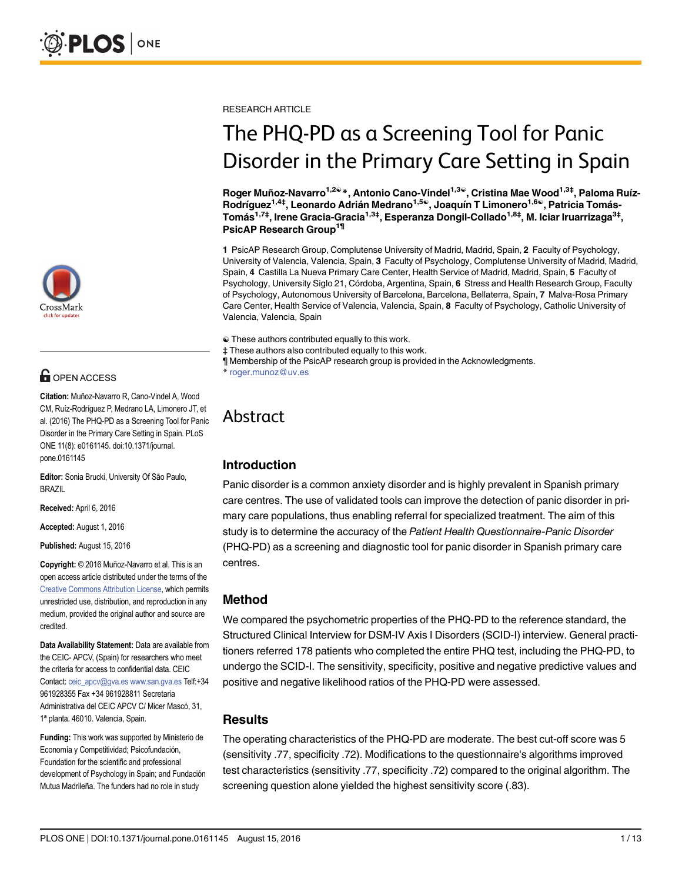

# $\blacksquare$  OPEN ACCESS

Citation: Muñoz-Navarro R, Cano-Vindel A, Wood CM, Ruíz-Rodríguez P, Medrano LA, Limonero JT, et al. (2016) The PHQ-PD as a Screening Tool for Panic Disorder in the Primary Care Setting in Spain. PLoS ONE 11(8): e0161145. doi:10.1371/journal. pone.0161145

Editor: Sonia Brucki, University Of São Paulo, BRAZIL

Received: April 6, 2016

Accepted: August 1, 2016

Published: August 15, 2016

Copyright: © 2016 Muñoz-Navarro et al. This is an open access article distributed under the terms of the [Creative Commons Attribution License,](http://creativecommons.org/licenses/by/4.0/) which permits unrestricted use, distribution, and reproduction in any medium, provided the original author and source are credited.

Data Availability Statement: Data are available from the CEIC- APCV, (Spain) for researchers who meet the criteria for access to confidential data. CEIC Contact: ceic\_apcv@gva.es [www.san.gva.es](http://www.san.gva.es) Telf:+34 961928355 Fax +34 961928811 Secretaria Administrativa del CEIC APCV C/ Micer Mascó, 31, 1ª planta. 46010. Valencia, Spain.

Funding: This work was supported by Ministerio de Economía y Competitividad; Psicofundación, Foundation for the scientific and professional development of Psychology in Spain; and Fundación Mutua Madrileña. The funders had no role in study

RESEARCH ARTICLE

# The PHQ-PD as a Screening Tool for Panic Disorder in the Primary Care Setting in Spain

Roger Muñoz-Navarro<sup>1,2ல</sup>\*, Antonio Cano-Vindel<sup>1,3ல</sup>, Cristina Mae Wood<sup>1,3‡</sup>, Paloma Ruíz-Rodríguez<sup>1,4‡</sup>, Leonardo Adrián Medrano<sup>1,5©</sup>, Joaquín T Limonero<sup>1,6©</sup>, Patricia Tomás-Tomás<sup>1,7‡</sup>, Irene Gracia-Gracia<sup>1,3‡</sup>, Esperanza Dongil-Collado<sup>1,8‡</sup>, M. Iciar Iruarrizaga<sup>3‡</sup>, PsicAP Research Group1¶

1 PsicAP Research Group, Complutense University of Madrid, Madrid, Spain, 2 Faculty of Psychology, University of Valencia, Valencia, Spain, 3 Faculty of Psychology, Complutense University of Madrid, Madrid, Spain, 4 Castilla La Nueva Primary Care Center, Health Service of Madrid, Madrid, Spain, 5 Faculty of Psychology, University Siglo 21, Córdoba, Argentina, Spain, 6 Stress and Health Research Group, Faculty of Psychology, Autonomous University of Barcelona, Barcelona, Bellaterra, Spain, 7 Malva-Rosa Primary Care Center, Health Service of Valencia, Valencia, Spain, 8 Faculty of Psychology, Catholic University of Valencia, Valencia, Spain

☯ These authors contributed equally to this work.

- ‡ These authors also contributed equally to this work.
- ¶ Membership of the PsicAP research group is provided in the Acknowledgments.

\* roger.munoz@uv.es

# Abstract

# Introduction

Panic disorder is a common anxiety disorder and is highly prevalent in Spanish primary care centres. The use of validated tools can improve the detection of panic disorder in primary care populations, thus enabling referral for specialized treatment. The aim of this study is to determine the accuracy of the Patient Health Questionnaire-Panic Disorder (PHQ-PD) as a screening and diagnostic tool for panic disorder in Spanish primary care centres.

# Method

We compared the psychometric properties of the PHQ-PD to the reference standard, the Structured Clinical Interview for DSM-IV Axis I Disorders (SCID-I) interview. General practitioners referred 178 patients who completed the entire PHQ test, including the PHQ-PD, to undergo the SCID-I. The sensitivity, specificity, positive and negative predictive values and positive and negative likelihood ratios of the PHQ-PD were assessed.

#### Results

The operating characteristics of the PHQ-PD are moderate. The best cut-off score was 5 (sensitivity .77, specificity .72). Modifications to the questionnaire's algorithms improved test characteristics (sensitivity .77, specificity .72) compared to the original algorithm. The screening question alone yielded the highest sensitivity score (.83).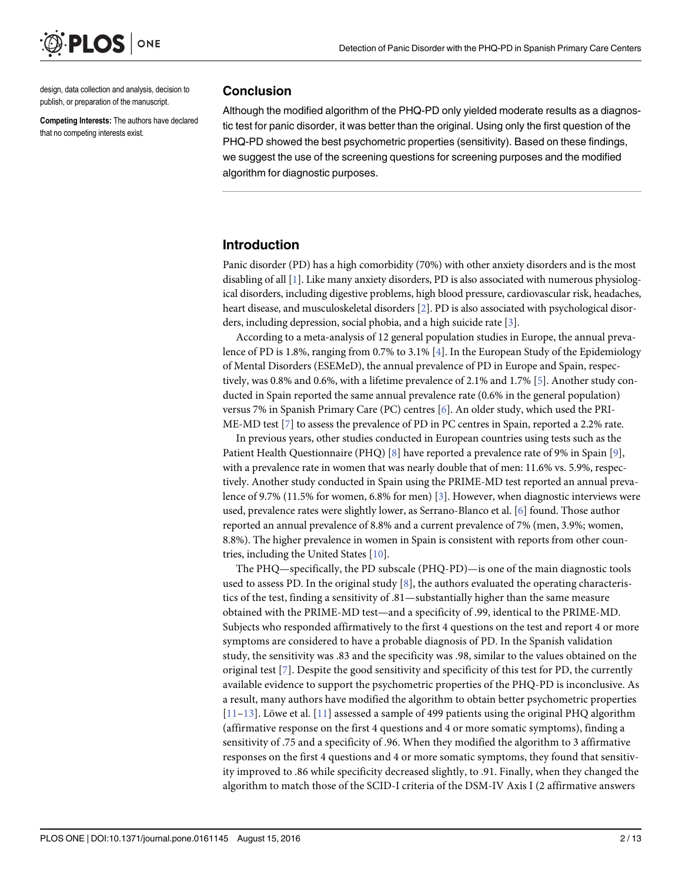<span id="page-1-0"></span>

design, data collection and analysis, decision to publish, or preparation of the manuscript.

Competing Interests: The authors have declared that no competing interests exist.

#### Conclusion

Although the modified algorithm of the PHQ-PD only yielded moderate results as a diagnostic test for panic disorder, it was better than the original. Using only the first question of the PHQ-PD showed the best psychometric properties (sensitivity). Based on these findings, we suggest the use of the screening questions for screening purposes and the modified algorithm for diagnostic purposes.

# Introduction

Panic disorder (PD) has a high comorbidity (70%) with other anxiety disorders and is the most disabling of all [\[1](#page-11-0)]. Like many anxiety disorders, PD is also associated with numerous physiological disorders, including digestive problems, high blood pressure, cardiovascular risk, headaches, heart disease, and musculoskeletal disorders [\[2\]](#page-11-0). PD is also associated with psychological disorders, including depression, social phobia, and a high suicide rate [\[3\]](#page-11-0).

According to a meta-analysis of 12 general population studies in Europe, the annual preva-lence of PD is 1.8%, ranging from 0.7% to 3.1% [\[4](#page-11-0)]. In the European Study of the Epidemiology of Mental Disorders (ESEMeD), the annual prevalence of PD in Europe and Spain, respectively, was 0.8% and 0.6%, with a lifetime prevalence of 2.1% and 1.7% [[5](#page-11-0)]. Another study conducted in Spain reported the same annual prevalence rate (0.6% in the general population) versus 7% in Spanish Primary Care (PC) centres [\[6](#page-11-0)]. An older study, which used the PRI-ME-MD test  $[7]$  $[7]$  to assess the prevalence of PD in PC centres in Spain, reported a 2.2% rate.

In previous years, other studies conducted in European countries using tests such as the Patient Health Questionnaire (PHQ) [[8\]](#page-11-0) have reported a prevalence rate of [9](#page-11-0)% in Spain [9], with a prevalence rate in women that was nearly double that of men: 11.6% vs. 5.9%, respectively. Another study conducted in Spain using the PRIME-MD test reported an annual prevalence of 9.7% (11.5% for women, 6.8% for men) [[3](#page-11-0)]. However, when diagnostic interviews were used, prevalence rates were slightly lower, as Serrano-Blanco et al. [\[6\]](#page-11-0) found. Those author reported an annual prevalence of 8.8% and a current prevalence of 7% (men, 3.9%; women, 8.8%). The higher prevalence in women in Spain is consistent with reports from other countries, including the United States [[10](#page-11-0)].

The PHQ—specifically, the PD subscale (PHQ-PD)—is one of the main diagnostic tools used to assess PD. In the original study  $[8]$  $[8]$ , the authors evaluated the operating characteristics of the test, finding a sensitivity of .81—substantially higher than the same measure obtained with the PRIME-MD test—and a specificity of .99, identical to the PRIME-MD. Subjects who responded affirmatively to the first 4 questions on the test and report 4 or more symptoms are considered to have a probable diagnosis of PD. In the Spanish validation study, the sensitivity was .83 and the specificity was .98, similar to the values obtained on the original test [[7\]](#page-11-0). Despite the good sensitivity and specificity of this test for PD, the currently available evidence to support the psychometric properties of the PHQ-PD is inconclusive. As a result, many authors have modified the algorithm to obtain better psychometric properties  $[11–13]$  $[11–13]$  $[11–13]$  $[11–13]$  $[11–13]$ . Löwe et al.  $[11]$  $[11]$  assessed a sample of 499 patients using the original PHQ algorithm (affirmative response on the first 4 questions and 4 or more somatic symptoms), finding a sensitivity of .75 and a specificity of .96. When they modified the algorithm to 3 affirmative responses on the first 4 questions and 4 or more somatic symptoms, they found that sensitivity improved to .86 while specificity decreased slightly, to .91. Finally, when they changed the algorithm to match those of the SCID-I criteria of the DSM-IV Axis I (2 affirmative answers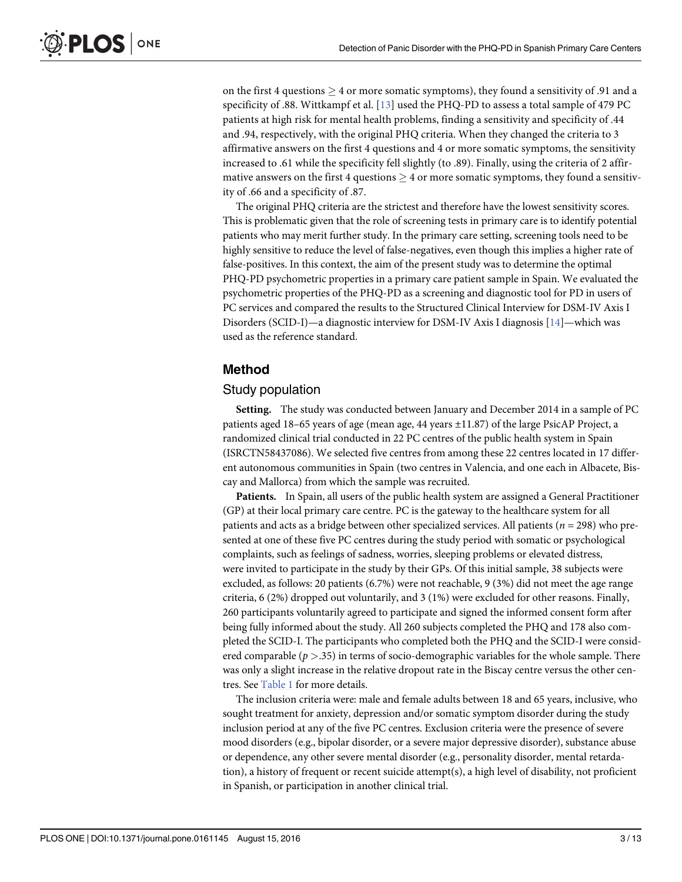<span id="page-2-0"></span>on the first 4 questions  $>$  4 or more somatic symptoms), they found a sensitivity of .91 and a specificity of .88. Wittkampf et al. [\[13](#page-11-0)] used the PHQ-PD to assess a total sample of 479 PC patients at high risk for mental health problems, finding a sensitivity and specificity of .44 and .94, respectively, with the original PHQ criteria. When they changed the criteria to 3 affirmative answers on the first 4 questions and 4 or more somatic symptoms, the sensitivity increased to .61 while the specificity fell slightly (to .89). Finally, using the criteria of 2 affirmative answers on the first 4 questions  $\geq$  4 or more somatic symptoms, they found a sensitivity of .66 and a specificity of .87.

The original PHQ criteria are the strictest and therefore have the lowest sensitivity scores. This is problematic given that the role of screening tests in primary care is to identify potential patients who may merit further study. In the primary care setting, screening tools need to be highly sensitive to reduce the level of false-negatives, even though this implies a higher rate of false-positives. In this context, the aim of the present study was to determine the optimal PHQ-PD psychometric properties in a primary care patient sample in Spain. We evaluated the psychometric properties of the PHQ-PD as a screening and diagnostic tool for PD in users of PC services and compared the results to the Structured Clinical Interview for DSM-IV Axis I Disorders (SCID-I)—a diagnostic interview for DSM-IV Axis I diagnosis [[14](#page-12-0)]—which was used as the reference standard.

# Method

#### Study population

Setting. The study was conducted between January and December 2014 in a sample of PC patients aged 18–65 years of age (mean age, 44 years ±11.87) of the large PsicAP Project, a randomized clinical trial conducted in 22 PC centres of the public health system in Spain (ISRCTN58437086). We selected five centres from among these 22 centres located in 17 different autonomous communities in Spain (two centres in Valencia, and one each in Albacete, Biscay and Mallorca) from which the sample was recruited.

Patients. In Spain, all users of the public health system are assigned a General Practitioner (GP) at their local primary care centre. PC is the gateway to the healthcare system for all patients and acts as a bridge between other specialized services. All patients ( $n = 298$ ) who presented at one of these five PC centres during the study period with somatic or psychological complaints, such as feelings of sadness, worries, sleeping problems or elevated distress, were invited to participate in the study by their GPs. Of this initial sample, 38 subjects were excluded, as follows: 20 patients (6.7%) were not reachable, 9 (3%) did not meet the age range criteria, 6 (2%) dropped out voluntarily, and 3 (1%) were excluded for other reasons. Finally, 260 participants voluntarily agreed to participate and signed the informed consent form after being fully informed about the study. All 260 subjects completed the PHQ and 178 also completed the SCID-I. The participants who completed both the PHQ and the SCID-I were considered comparable ( $p > 0.35$ ) in terms of socio-demographic variables for the whole sample. There was only a slight increase in the relative dropout rate in the Biscay centre versus the other centres. See [Table 1](#page-3-0) for more details.

The inclusion criteria were: male and female adults between 18 and 65 years, inclusive, who sought treatment for anxiety, depression and/or somatic symptom disorder during the study inclusion period at any of the five PC centres. Exclusion criteria were the presence of severe mood disorders (e.g., bipolar disorder, or a severe major depressive disorder), substance abuse or dependence, any other severe mental disorder (e.g., personality disorder, mental retardation), a history of frequent or recent suicide attempt(s), a high level of disability, not proficient in Spanish, or participation in another clinical trial.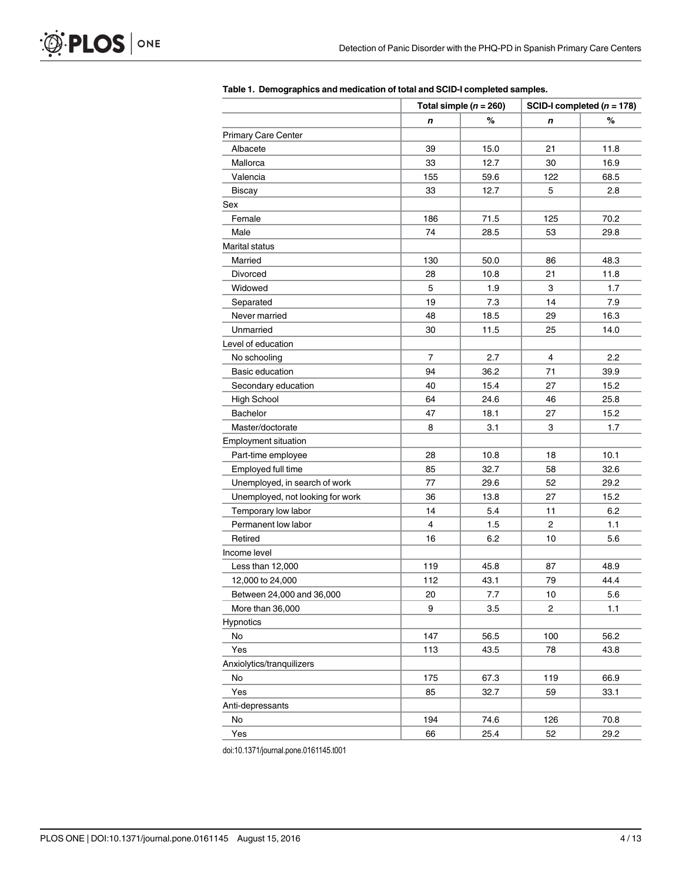| %<br>%<br>n<br>n<br><b>Primary Care Center</b><br>Albacete<br>39<br>15.0<br>21<br>11.8<br>Mallorca<br>33<br>12.7<br>30<br>16.9<br>Valencia<br>155<br>59.6<br>122<br>68.5<br>5<br>33<br>12.7<br>2.8<br><b>Biscay</b><br>Sex<br>Female<br>186<br>71.5<br>125<br>70.2<br>Male<br>74<br>28.5<br>53<br>29.8<br>Marital status<br>130<br>50.0<br>86<br>48.3<br>Married<br>Divorced<br>28<br>10.8<br>21<br>11.8<br>Widowed<br>5<br>3<br>1.9<br>1.7<br>19<br>7.3<br>14<br>7.9<br>Separated<br>Never married<br>48<br>18.5<br>29<br>16.3<br>Unmarried<br>30<br>11.5<br>14.0<br>25<br>Level of education<br>$\overline{7}$<br>2.2<br>No schooling<br>2.7<br>4<br>Basic education<br>94<br>36.2<br>71<br>39.9<br>Secondary education<br>40<br>15.4<br>15.2<br>27<br><b>High School</b><br>64<br>24.6<br>46<br>25.8<br><b>Bachelor</b><br>47<br>18.1<br>27<br>15.2<br>Master/doctorate<br>3.1<br>3<br>1.7<br>8<br>Employment situation<br>Part-time employee<br>28<br>10.8<br>10.1<br>18<br>Employed full time<br>85<br>32.7<br>32.6<br>58<br>Unemployed, in search of work<br>77<br>52<br>29.2<br>29.6<br>Unemployed, not looking for work<br>36<br>13.8<br>27<br>15.2<br>Temporary low labor<br>14<br>5.4<br>11<br>6.2<br>4<br>$\overline{2}$<br>Permanent low labor<br>1.5<br>1.1<br>Retired<br>16<br>10<br>6.2<br>5.6<br>Income level<br>119<br>45.8<br>87<br>48.9<br>Less than 12,000<br>12,000 to 24,000<br>79<br>112<br>43.1<br>44.4<br>7.7<br>5.6<br>Between 24,000 and 36,000<br>20<br>10<br>$\mathbf{2}$<br>1.1<br>More than 36,000<br>9<br>3.5<br><b>Hypnotics</b><br>No<br>147<br>56.5<br>100<br>56.2<br>Yes<br>113<br>43.5<br>78<br>43.8<br>Anxiolytics/tranquilizers<br>No<br>175<br>67.3<br>119<br>66.9<br>Yes<br>85<br>32.7<br>59<br>33.1<br>Anti-depressants<br>74.6<br>No<br>194<br>126<br>70.8<br>Yes<br>66<br>25.4<br>52<br>29.2 |  | Total simple $(n = 260)$ | SCID-I completed ( $n = 178$ ) |  |  |
|------------------------------------------------------------------------------------------------------------------------------------------------------------------------------------------------------------------------------------------------------------------------------------------------------------------------------------------------------------------------------------------------------------------------------------------------------------------------------------------------------------------------------------------------------------------------------------------------------------------------------------------------------------------------------------------------------------------------------------------------------------------------------------------------------------------------------------------------------------------------------------------------------------------------------------------------------------------------------------------------------------------------------------------------------------------------------------------------------------------------------------------------------------------------------------------------------------------------------------------------------------------------------------------------------------------------------------------------------------------------------------------------------------------------------------------------------------------------------------------------------------------------------------------------------------------------------------------------------------------------------------------------------------------------------------------------------------------------------------------------------------------------------------------------------------------------------------------|--|--------------------------|--------------------------------|--|--|
|                                                                                                                                                                                                                                                                                                                                                                                                                                                                                                                                                                                                                                                                                                                                                                                                                                                                                                                                                                                                                                                                                                                                                                                                                                                                                                                                                                                                                                                                                                                                                                                                                                                                                                                                                                                                                                          |  |                          |                                |  |  |
|                                                                                                                                                                                                                                                                                                                                                                                                                                                                                                                                                                                                                                                                                                                                                                                                                                                                                                                                                                                                                                                                                                                                                                                                                                                                                                                                                                                                                                                                                                                                                                                                                                                                                                                                                                                                                                          |  |                          |                                |  |  |
|                                                                                                                                                                                                                                                                                                                                                                                                                                                                                                                                                                                                                                                                                                                                                                                                                                                                                                                                                                                                                                                                                                                                                                                                                                                                                                                                                                                                                                                                                                                                                                                                                                                                                                                                                                                                                                          |  |                          |                                |  |  |
|                                                                                                                                                                                                                                                                                                                                                                                                                                                                                                                                                                                                                                                                                                                                                                                                                                                                                                                                                                                                                                                                                                                                                                                                                                                                                                                                                                                                                                                                                                                                                                                                                                                                                                                                                                                                                                          |  |                          |                                |  |  |
|                                                                                                                                                                                                                                                                                                                                                                                                                                                                                                                                                                                                                                                                                                                                                                                                                                                                                                                                                                                                                                                                                                                                                                                                                                                                                                                                                                                                                                                                                                                                                                                                                                                                                                                                                                                                                                          |  |                          |                                |  |  |
|                                                                                                                                                                                                                                                                                                                                                                                                                                                                                                                                                                                                                                                                                                                                                                                                                                                                                                                                                                                                                                                                                                                                                                                                                                                                                                                                                                                                                                                                                                                                                                                                                                                                                                                                                                                                                                          |  |                          |                                |  |  |
|                                                                                                                                                                                                                                                                                                                                                                                                                                                                                                                                                                                                                                                                                                                                                                                                                                                                                                                                                                                                                                                                                                                                                                                                                                                                                                                                                                                                                                                                                                                                                                                                                                                                                                                                                                                                                                          |  |                          |                                |  |  |
|                                                                                                                                                                                                                                                                                                                                                                                                                                                                                                                                                                                                                                                                                                                                                                                                                                                                                                                                                                                                                                                                                                                                                                                                                                                                                                                                                                                                                                                                                                                                                                                                                                                                                                                                                                                                                                          |  |                          |                                |  |  |
|                                                                                                                                                                                                                                                                                                                                                                                                                                                                                                                                                                                                                                                                                                                                                                                                                                                                                                                                                                                                                                                                                                                                                                                                                                                                                                                                                                                                                                                                                                                                                                                                                                                                                                                                                                                                                                          |  |                          |                                |  |  |
|                                                                                                                                                                                                                                                                                                                                                                                                                                                                                                                                                                                                                                                                                                                                                                                                                                                                                                                                                                                                                                                                                                                                                                                                                                                                                                                                                                                                                                                                                                                                                                                                                                                                                                                                                                                                                                          |  |                          |                                |  |  |
|                                                                                                                                                                                                                                                                                                                                                                                                                                                                                                                                                                                                                                                                                                                                                                                                                                                                                                                                                                                                                                                                                                                                                                                                                                                                                                                                                                                                                                                                                                                                                                                                                                                                                                                                                                                                                                          |  |                          |                                |  |  |
|                                                                                                                                                                                                                                                                                                                                                                                                                                                                                                                                                                                                                                                                                                                                                                                                                                                                                                                                                                                                                                                                                                                                                                                                                                                                                                                                                                                                                                                                                                                                                                                                                                                                                                                                                                                                                                          |  |                          |                                |  |  |
|                                                                                                                                                                                                                                                                                                                                                                                                                                                                                                                                                                                                                                                                                                                                                                                                                                                                                                                                                                                                                                                                                                                                                                                                                                                                                                                                                                                                                                                                                                                                                                                                                                                                                                                                                                                                                                          |  |                          |                                |  |  |
|                                                                                                                                                                                                                                                                                                                                                                                                                                                                                                                                                                                                                                                                                                                                                                                                                                                                                                                                                                                                                                                                                                                                                                                                                                                                                                                                                                                                                                                                                                                                                                                                                                                                                                                                                                                                                                          |  |                          |                                |  |  |
|                                                                                                                                                                                                                                                                                                                                                                                                                                                                                                                                                                                                                                                                                                                                                                                                                                                                                                                                                                                                                                                                                                                                                                                                                                                                                                                                                                                                                                                                                                                                                                                                                                                                                                                                                                                                                                          |  |                          |                                |  |  |
|                                                                                                                                                                                                                                                                                                                                                                                                                                                                                                                                                                                                                                                                                                                                                                                                                                                                                                                                                                                                                                                                                                                                                                                                                                                                                                                                                                                                                                                                                                                                                                                                                                                                                                                                                                                                                                          |  |                          |                                |  |  |
|                                                                                                                                                                                                                                                                                                                                                                                                                                                                                                                                                                                                                                                                                                                                                                                                                                                                                                                                                                                                                                                                                                                                                                                                                                                                                                                                                                                                                                                                                                                                                                                                                                                                                                                                                                                                                                          |  |                          |                                |  |  |
|                                                                                                                                                                                                                                                                                                                                                                                                                                                                                                                                                                                                                                                                                                                                                                                                                                                                                                                                                                                                                                                                                                                                                                                                                                                                                                                                                                                                                                                                                                                                                                                                                                                                                                                                                                                                                                          |  |                          |                                |  |  |
|                                                                                                                                                                                                                                                                                                                                                                                                                                                                                                                                                                                                                                                                                                                                                                                                                                                                                                                                                                                                                                                                                                                                                                                                                                                                                                                                                                                                                                                                                                                                                                                                                                                                                                                                                                                                                                          |  |                          |                                |  |  |
|                                                                                                                                                                                                                                                                                                                                                                                                                                                                                                                                                                                                                                                                                                                                                                                                                                                                                                                                                                                                                                                                                                                                                                                                                                                                                                                                                                                                                                                                                                                                                                                                                                                                                                                                                                                                                                          |  |                          |                                |  |  |
|                                                                                                                                                                                                                                                                                                                                                                                                                                                                                                                                                                                                                                                                                                                                                                                                                                                                                                                                                                                                                                                                                                                                                                                                                                                                                                                                                                                                                                                                                                                                                                                                                                                                                                                                                                                                                                          |  |                          |                                |  |  |
|                                                                                                                                                                                                                                                                                                                                                                                                                                                                                                                                                                                                                                                                                                                                                                                                                                                                                                                                                                                                                                                                                                                                                                                                                                                                                                                                                                                                                                                                                                                                                                                                                                                                                                                                                                                                                                          |  |                          |                                |  |  |
|                                                                                                                                                                                                                                                                                                                                                                                                                                                                                                                                                                                                                                                                                                                                                                                                                                                                                                                                                                                                                                                                                                                                                                                                                                                                                                                                                                                                                                                                                                                                                                                                                                                                                                                                                                                                                                          |  |                          |                                |  |  |
|                                                                                                                                                                                                                                                                                                                                                                                                                                                                                                                                                                                                                                                                                                                                                                                                                                                                                                                                                                                                                                                                                                                                                                                                                                                                                                                                                                                                                                                                                                                                                                                                                                                                                                                                                                                                                                          |  |                          |                                |  |  |
|                                                                                                                                                                                                                                                                                                                                                                                                                                                                                                                                                                                                                                                                                                                                                                                                                                                                                                                                                                                                                                                                                                                                                                                                                                                                                                                                                                                                                                                                                                                                                                                                                                                                                                                                                                                                                                          |  |                          |                                |  |  |
|                                                                                                                                                                                                                                                                                                                                                                                                                                                                                                                                                                                                                                                                                                                                                                                                                                                                                                                                                                                                                                                                                                                                                                                                                                                                                                                                                                                                                                                                                                                                                                                                                                                                                                                                                                                                                                          |  |                          |                                |  |  |
|                                                                                                                                                                                                                                                                                                                                                                                                                                                                                                                                                                                                                                                                                                                                                                                                                                                                                                                                                                                                                                                                                                                                                                                                                                                                                                                                                                                                                                                                                                                                                                                                                                                                                                                                                                                                                                          |  |                          |                                |  |  |
|                                                                                                                                                                                                                                                                                                                                                                                                                                                                                                                                                                                                                                                                                                                                                                                                                                                                                                                                                                                                                                                                                                                                                                                                                                                                                                                                                                                                                                                                                                                                                                                                                                                                                                                                                                                                                                          |  |                          |                                |  |  |
|                                                                                                                                                                                                                                                                                                                                                                                                                                                                                                                                                                                                                                                                                                                                                                                                                                                                                                                                                                                                                                                                                                                                                                                                                                                                                                                                                                                                                                                                                                                                                                                                                                                                                                                                                                                                                                          |  |                          |                                |  |  |
|                                                                                                                                                                                                                                                                                                                                                                                                                                                                                                                                                                                                                                                                                                                                                                                                                                                                                                                                                                                                                                                                                                                                                                                                                                                                                                                                                                                                                                                                                                                                                                                                                                                                                                                                                                                                                                          |  |                          |                                |  |  |
|                                                                                                                                                                                                                                                                                                                                                                                                                                                                                                                                                                                                                                                                                                                                                                                                                                                                                                                                                                                                                                                                                                                                                                                                                                                                                                                                                                                                                                                                                                                                                                                                                                                                                                                                                                                                                                          |  |                          |                                |  |  |
|                                                                                                                                                                                                                                                                                                                                                                                                                                                                                                                                                                                                                                                                                                                                                                                                                                                                                                                                                                                                                                                                                                                                                                                                                                                                                                                                                                                                                                                                                                                                                                                                                                                                                                                                                                                                                                          |  |                          |                                |  |  |
|                                                                                                                                                                                                                                                                                                                                                                                                                                                                                                                                                                                                                                                                                                                                                                                                                                                                                                                                                                                                                                                                                                                                                                                                                                                                                                                                                                                                                                                                                                                                                                                                                                                                                                                                                                                                                                          |  |                          |                                |  |  |
|                                                                                                                                                                                                                                                                                                                                                                                                                                                                                                                                                                                                                                                                                                                                                                                                                                                                                                                                                                                                                                                                                                                                                                                                                                                                                                                                                                                                                                                                                                                                                                                                                                                                                                                                                                                                                                          |  |                          |                                |  |  |
|                                                                                                                                                                                                                                                                                                                                                                                                                                                                                                                                                                                                                                                                                                                                                                                                                                                                                                                                                                                                                                                                                                                                                                                                                                                                                                                                                                                                                                                                                                                                                                                                                                                                                                                                                                                                                                          |  |                          |                                |  |  |
|                                                                                                                                                                                                                                                                                                                                                                                                                                                                                                                                                                                                                                                                                                                                                                                                                                                                                                                                                                                                                                                                                                                                                                                                                                                                                                                                                                                                                                                                                                                                                                                                                                                                                                                                                                                                                                          |  |                          |                                |  |  |
|                                                                                                                                                                                                                                                                                                                                                                                                                                                                                                                                                                                                                                                                                                                                                                                                                                                                                                                                                                                                                                                                                                                                                                                                                                                                                                                                                                                                                                                                                                                                                                                                                                                                                                                                                                                                                                          |  |                          |                                |  |  |
|                                                                                                                                                                                                                                                                                                                                                                                                                                                                                                                                                                                                                                                                                                                                                                                                                                                                                                                                                                                                                                                                                                                                                                                                                                                                                                                                                                                                                                                                                                                                                                                                                                                                                                                                                                                                                                          |  |                          |                                |  |  |
|                                                                                                                                                                                                                                                                                                                                                                                                                                                                                                                                                                                                                                                                                                                                                                                                                                                                                                                                                                                                                                                                                                                                                                                                                                                                                                                                                                                                                                                                                                                                                                                                                                                                                                                                                                                                                                          |  |                          |                                |  |  |
|                                                                                                                                                                                                                                                                                                                                                                                                                                                                                                                                                                                                                                                                                                                                                                                                                                                                                                                                                                                                                                                                                                                                                                                                                                                                                                                                                                                                                                                                                                                                                                                                                                                                                                                                                                                                                                          |  |                          |                                |  |  |
|                                                                                                                                                                                                                                                                                                                                                                                                                                                                                                                                                                                                                                                                                                                                                                                                                                                                                                                                                                                                                                                                                                                                                                                                                                                                                                                                                                                                                                                                                                                                                                                                                                                                                                                                                                                                                                          |  |                          |                                |  |  |
|                                                                                                                                                                                                                                                                                                                                                                                                                                                                                                                                                                                                                                                                                                                                                                                                                                                                                                                                                                                                                                                                                                                                                                                                                                                                                                                                                                                                                                                                                                                                                                                                                                                                                                                                                                                                                                          |  |                          |                                |  |  |
|                                                                                                                                                                                                                                                                                                                                                                                                                                                                                                                                                                                                                                                                                                                                                                                                                                                                                                                                                                                                                                                                                                                                                                                                                                                                                                                                                                                                                                                                                                                                                                                                                                                                                                                                                                                                                                          |  |                          |                                |  |  |
|                                                                                                                                                                                                                                                                                                                                                                                                                                                                                                                                                                                                                                                                                                                                                                                                                                                                                                                                                                                                                                                                                                                                                                                                                                                                                                                                                                                                                                                                                                                                                                                                                                                                                                                                                                                                                                          |  |                          |                                |  |  |
|                                                                                                                                                                                                                                                                                                                                                                                                                                                                                                                                                                                                                                                                                                                                                                                                                                                                                                                                                                                                                                                                                                                                                                                                                                                                                                                                                                                                                                                                                                                                                                                                                                                                                                                                                                                                                                          |  |                          |                                |  |  |
|                                                                                                                                                                                                                                                                                                                                                                                                                                                                                                                                                                                                                                                                                                                                                                                                                                                                                                                                                                                                                                                                                                                                                                                                                                                                                                                                                                                                                                                                                                                                                                                                                                                                                                                                                                                                                                          |  |                          |                                |  |  |

#### <span id="page-3-0"></span>[Table 1.](#page-2-0) Demographics and medication of total and SCID-I completed samples.

doi:10.1371/journal.pone.0161145.t001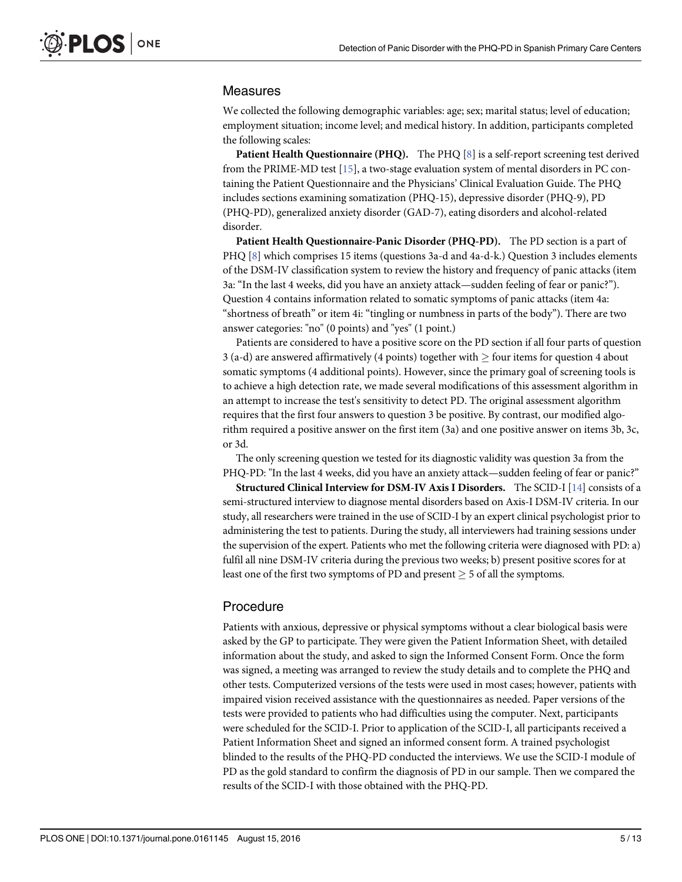#### <span id="page-4-0"></span>Measures

We collected the following demographic variables: age; sex; marital status; level of education; employment situation; income level; and medical history. In addition, participants completed the following scales:

Patient Health Questionnaire (PHQ). The PHQ [\[8\]](#page-11-0) is a self-report screening test derived from the PRIME-MD test  $[15]$  $[15]$  $[15]$ , a two-stage evaluation system of mental disorders in PC containing the Patient Questionnaire and the Physicians' Clinical Evaluation Guide. The PHQ includes sections examining somatization (PHQ-15), depressive disorder (PHQ-9), PD (PHQ-PD), generalized anxiety disorder (GAD-7), eating disorders and alcohol-related disorder.

Patient Health Questionnaire-Panic Disorder (PHQ-PD). The PD section is a part of PHQ [\[8](#page-11-0)] which comprises 15 items (questions 3a-d and 4a-d-k.) Question 3 includes elements of the DSM-IV classification system to review the history and frequency of panic attacks (item 3a: "In the last 4 weeks, did you have an anxiety attack—sudden feeling of fear or panic?"). Question 4 contains information related to somatic symptoms of panic attacks (item 4a: "shortness of breath" or item 4i: "tingling or numbness in parts of the body"). There are two answer categories: "no" (0 points) and "yes" (1 point.)

Patients are considered to have a positive score on the PD section if all four parts of question  $3$  (a-d) are answered affirmatively (4 points) together with  $>$  four items for question 4 about somatic symptoms (4 additional points). However, since the primary goal of screening tools is to achieve a high detection rate, we made several modifications of this assessment algorithm in an attempt to increase the test's sensitivity to detect PD. The original assessment algorithm requires that the first four answers to question 3 be positive. By contrast, our modified algorithm required a positive answer on the first item (3a) and one positive answer on items 3b, 3c, or 3d.

The only screening question we tested for its diagnostic validity was question 3a from the PHQ-PD: "In the last 4 weeks, did you have an anxiety attack—sudden feeling of fear or panic?"

Structured Clinical Interview for DSM-IV Axis I Disorders. The SCID-I [\[14\]](#page-12-0) consists of a semi-structured interview to diagnose mental disorders based on Axis-I DSM-IV criteria. In our study, all researchers were trained in the use of SCID-I by an expert clinical psychologist prior to administering the test to patients. During the study, all interviewers had training sessions under the supervision of the expert. Patients who met the following criteria were diagnosed with PD: a) fulfil all nine DSM-IV criteria during the previous two weeks; b) present positive scores for at least one of the first two symptoms of PD and present  $\geq$  5 of all the symptoms.

#### Procedure

Patients with anxious, depressive or physical symptoms without a clear biological basis were asked by the GP to participate. They were given the Patient Information Sheet, with detailed information about the study, and asked to sign the Informed Consent Form. Once the form was signed, a meeting was arranged to review the study details and to complete the PHQ and other tests. Computerized versions of the tests were used in most cases; however, patients with impaired vision received assistance with the questionnaires as needed. Paper versions of the tests were provided to patients who had difficulties using the computer. Next, participants were scheduled for the SCID-I. Prior to application of the SCID-I, all participants received a Patient Information Sheet and signed an informed consent form. A trained psychologist blinded to the results of the PHQ-PD conducted the interviews. We use the SCID-I module of PD as the gold standard to confirm the diagnosis of PD in our sample. Then we compared the results of the SCID-I with those obtained with the PHQ-PD.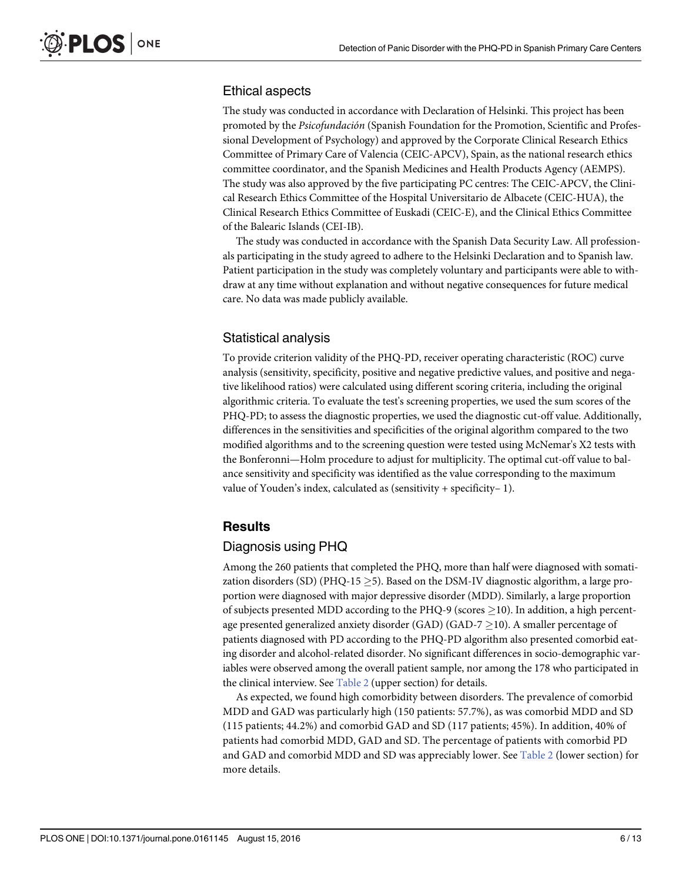# <span id="page-5-0"></span>Ethical aspects

The study was conducted in accordance with Declaration of Helsinki. This project has been promoted by the Psicofundación (Spanish Foundation for the Promotion, Scientific and Professional Development of Psychology) and approved by the Corporate Clinical Research Ethics Committee of Primary Care of Valencia (CEIC-APCV), Spain, as the national research ethics committee coordinator, and the Spanish Medicines and Health Products Agency (AEMPS). The study was also approved by the five participating PC centres: The CEIC-APCV, the Clinical Research Ethics Committee of the Hospital Universitario de Albacete (CEIC-HUA), the Clinical Research Ethics Committee of Euskadi (CEIC-E), and the Clinical Ethics Committee of the Balearic Islands (CEI-IB).

The study was conducted in accordance with the Spanish Data Security Law. All professionals participating in the study agreed to adhere to the Helsinki Declaration and to Spanish law. Patient participation in the study was completely voluntary and participants were able to withdraw at any time without explanation and without negative consequences for future medical care. No data was made publicly available.

# Statistical analysis

To provide criterion validity of the PHQ-PD, receiver operating characteristic (ROC) curve analysis (sensitivity, specificity, positive and negative predictive values, and positive and negative likelihood ratios) were calculated using different scoring criteria, including the original algorithmic criteria. To evaluate the test's screening properties, we used the sum scores of the PHQ-PD; to assess the diagnostic properties, we used the diagnostic cut-off value. Additionally, differences in the sensitivities and specificities of the original algorithm compared to the two modified algorithms and to the screening question were tested using McNemar's Χ2 tests with the Bonferonni—Holm procedure to adjust for multiplicity. The optimal cut-off value to balance sensitivity and specificity was identified as the value corresponding to the maximum value of Youden's index, calculated as (sensitivity + specificity– 1).

# **Results**

# Diagnosis using PHQ

Among the 260 patients that completed the PHQ, more than half were diagnosed with somatization disorders (SD) (PHQ-15  $\geq$ 5). Based on the DSM-IV diagnostic algorithm, a large proportion were diagnosed with major depressive disorder (MDD). Similarly, a large proportion of subjects presented MDD according to the PHQ-9 (scores  $\geq$ 10). In addition, a high percentage presented generalized anxiety disorder (GAD) (GAD-7 $\geq$ 10). A smaller percentage of patients diagnosed with PD according to the PHQ-PD algorithm also presented comorbid eating disorder and alcohol-related disorder. No significant differences in socio-demographic variables were observed among the overall patient sample, nor among the 178 who participated in the clinical interview. See **[Table 2](#page-6-0)** (upper section) for details.

As expected, we found high comorbidity between disorders. The prevalence of comorbid MDD and GAD was particularly high (150 patients: 57.7%), as was comorbid MDD and SD (115 patients; 44.2%) and comorbid GAD and SD (117 patients; 45%). In addition, 40% of patients had comorbid MDD, GAD and SD. The percentage of patients with comorbid PD and GAD and comorbid MDD and SD was appreciably lower. See [Table 2](#page-6-0) (lower section) for more details.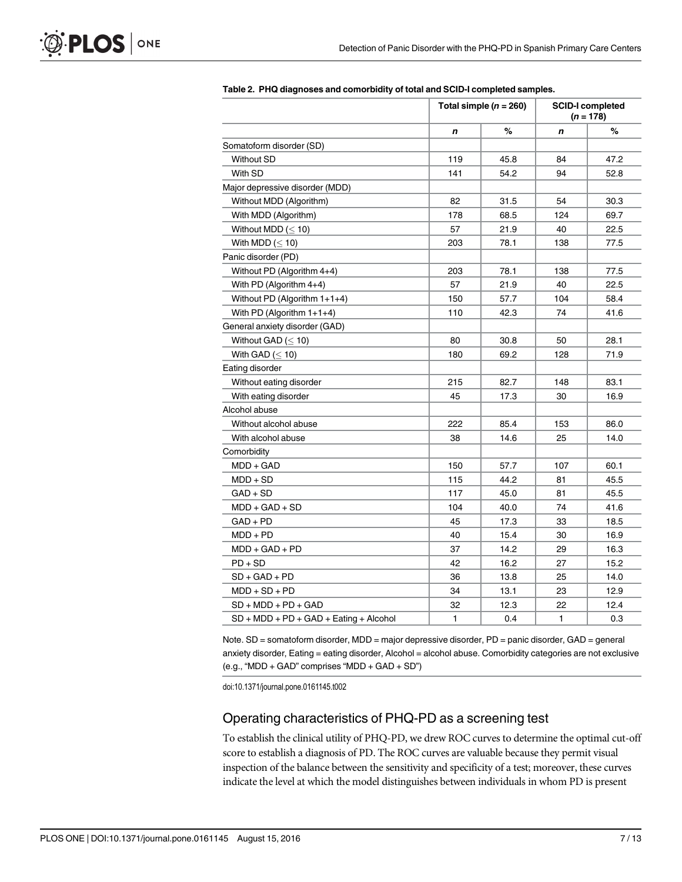|                                          |     | Total simple ( $n = 260$ ) |     | <b>SCID-I completed</b><br>$(n = 178)$ |
|------------------------------------------|-----|----------------------------|-----|----------------------------------------|
|                                          | n   | %                          | n   | %                                      |
| Somatoform disorder (SD)                 |     |                            |     |                                        |
| <b>Without SD</b>                        | 119 | 45.8                       | 84  | 47.2                                   |
| With SD                                  | 141 | 54.2                       | 94  | 52.8                                   |
| Major depressive disorder (MDD)          |     |                            |     |                                        |
| Without MDD (Algorithm)                  | 82  | 31.5                       | 54  | 30.3                                   |
| With MDD (Algorithm)                     | 178 | 68.5                       | 124 | 69.7                                   |
| Without MDD $(\leq 10)$                  | 57  | 21.9                       | 40  | 22.5                                   |
| With MDD $(< 10)$                        | 203 | 78.1                       | 138 | 77.5                                   |
| Panic disorder (PD)                      |     |                            |     |                                        |
| Without PD (Algorithm 4+4)               | 203 | 78.1                       | 138 | 77.5                                   |
| With PD (Algorithm 4+4)                  | 57  | 21.9                       | 40  | 22.5                                   |
| Without PD (Algorithm 1+1+4)             | 150 | 57.7                       | 104 | 58.4                                   |
| With PD (Algorithm $1+1+4$ )             | 110 | 42.3                       | 74  | 41.6                                   |
| General anxiety disorder (GAD)           |     |                            |     |                                        |
| Without GAD $(< 10)$                     | 80  | 30.8                       | 50  | 28.1                                   |
| With GAD $(< 10)$                        | 180 | 69.2                       | 128 | 71.9                                   |
| Eating disorder                          |     |                            |     |                                        |
| Without eating disorder                  | 215 | 82.7                       | 148 | 83.1                                   |
| With eating disorder                     | 45  | 17.3                       | 30  | 16.9                                   |
| Alcohol abuse                            |     |                            |     |                                        |
| Without alcohol abuse                    | 222 | 85.4                       | 153 | 86.0                                   |
| With alcohol abuse                       | 38  | 14.6                       | 25  | 14.0                                   |
| Comorbidity                              |     |                            |     |                                        |
| $MDD + GAD$                              | 150 | 57.7                       | 107 | 60.1                                   |
| $MDD + SD$                               | 115 | 44.2                       | 81  | 45.5                                   |
| $GAD + SD$                               | 117 | 45.0                       | 81  | 45.5                                   |
| $MDD + GAD + SD$                         | 104 | 40.0                       | 74  | 41.6                                   |
| $GAD + PD$                               | 45  | 17.3                       | 33  | 18.5                                   |
| $MDD + PD$                               | 40  | 15.4                       | 30  | 16.9                                   |
| $MDD + GAD + PD$                         | 37  | 14.2                       | 29  | 16.3                                   |
| $PD + SD$                                | 42  | 16.2                       | 27  | 15.2                                   |
| $SD + GAD + PD$                          | 36  | 13.8                       | 25  | 14.0                                   |
| $MDD + SD + PD$                          | 34  | 13.1                       | 23  | 12.9                                   |
| $SD + MDD + PD + GAD$                    | 32  | 12.3                       | 22  | 12.4                                   |
| $SD + MDD + PD + GAD + Eating + Alcohol$ | 1   | 0.4                        | 1   | 0.3                                    |

<span id="page-6-0"></span>

| Table 2.  PHQ diagnoses and comorbidity of total and SCID-I completed samples. |  |  |
|--------------------------------------------------------------------------------|--|--|
|--------------------------------------------------------------------------------|--|--|

Note. SD = somatoform disorder, MDD = major depressive disorder, PD = panic disorder, GAD = general anxiety disorder, Eating = eating disorder, Alcohol = alcohol abuse. Comorbidity categories are not exclusive (e.g., "MDD + GAD" comprises "MDD + GAD + SD")

doi:10.1371/journal.pone.0161145.t002

## Operating characteristics of PHQ-PD as a screening test

To establish the clinical utility of PHQ-PD, we drew ROC curves to determine the optimal cut-off score to establish a diagnosis of PD. The ROC curves are valuable because they permit visual inspection of the balance between the sensitivity and specificity of a test; moreover, these curves indicate the level at which the model distinguishes between individuals in whom PD is present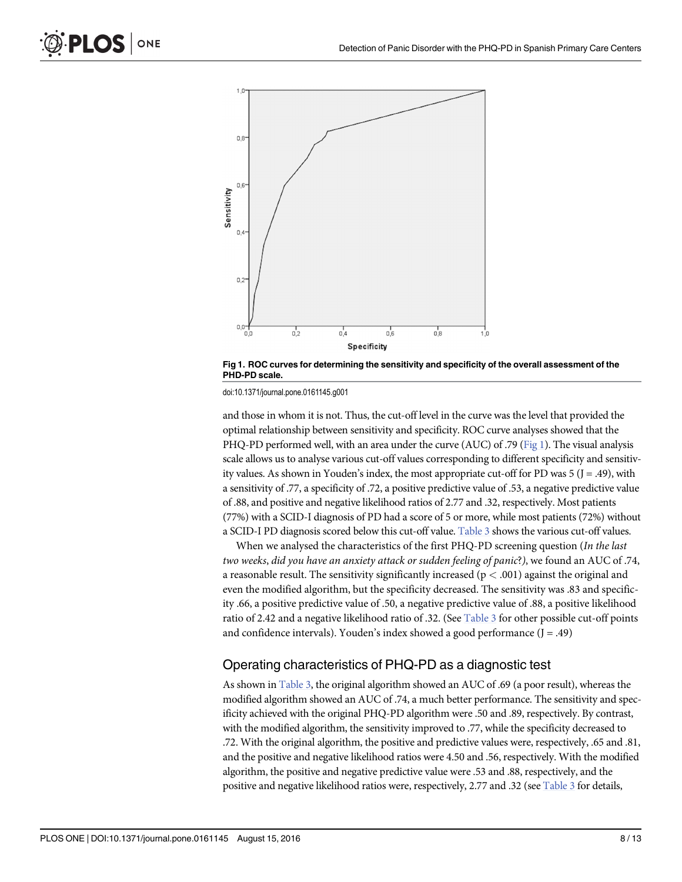<span id="page-7-0"></span>

Fig 1. ROC curves for determining the sensitivity and specificity of the overall assessment of the PHD-PD scale.

doi:10.1371/journal.pone.0161145.g001

and those in whom it is not. Thus, the cut-off level in the curve was the level that provided the optimal relationship between sensitivity and specificity. ROC curve analyses showed that the PHQ-PD performed well, with an area under the curve (AUC) of .79 (Fig 1). The visual analysis scale allows us to analyse various cut-off values corresponding to different specificity and sensitivity values. As shown in Youden's index, the most appropriate cut-off for PD was  $5$  (J = .49), with a sensitivity of .77, a specificity of .72, a positive predictive value of .53, a negative predictive value of .88, and positive and negative likelihood ratios of 2.77 and .32, respectively. Most patients (77%) with a SCID-I diagnosis of PD had a score of 5 or more, while most patients (72%) without a SCID-I PD diagnosis scored below this cut-off value. [Table 3](#page-8-0) shows the various cut-off values.

When we analysed the characteristics of the first PHQ-PD screening question (In the last two weeks, did you have an anxiety attack or sudden feeling of panic?), we found an AUC of .74, a reasonable result. The sensitivity significantly increased ( $p < .001$ ) against the original and even the modified algorithm, but the specificity decreased. The sensitivity was .83 and specificity .66, a positive predictive value of .50, a negative predictive value of .88, a positive likelihood ratio of 2.42 and a negative likelihood ratio of .32. (See [Table 3](#page-8-0) for other possible cut-off points and confidence intervals). Youden's index showed a good performance  $(I = .49)$ 

#### Operating characteristics of PHQ-PD as a diagnostic test

As shown in [Table 3](#page-8-0), the original algorithm showed an AUC of .69 (a poor result), whereas the modified algorithm showed an AUC of .74, a much better performance. The sensitivity and specificity achieved with the original PHQ-PD algorithm were .50 and .89, respectively. By contrast, with the modified algorithm, the sensitivity improved to .77, while the specificity decreased to .72. With the original algorithm, the positive and predictive values were, respectively, .65 and .81, and the positive and negative likelihood ratios were 4.50 and .56, respectively. With the modified algorithm, the positive and negative predictive value were .53 and .88, respectively, and the positive and negative likelihood ratios were, respectively, 2.77 and .32 (see [Table 3](#page-8-0) for details,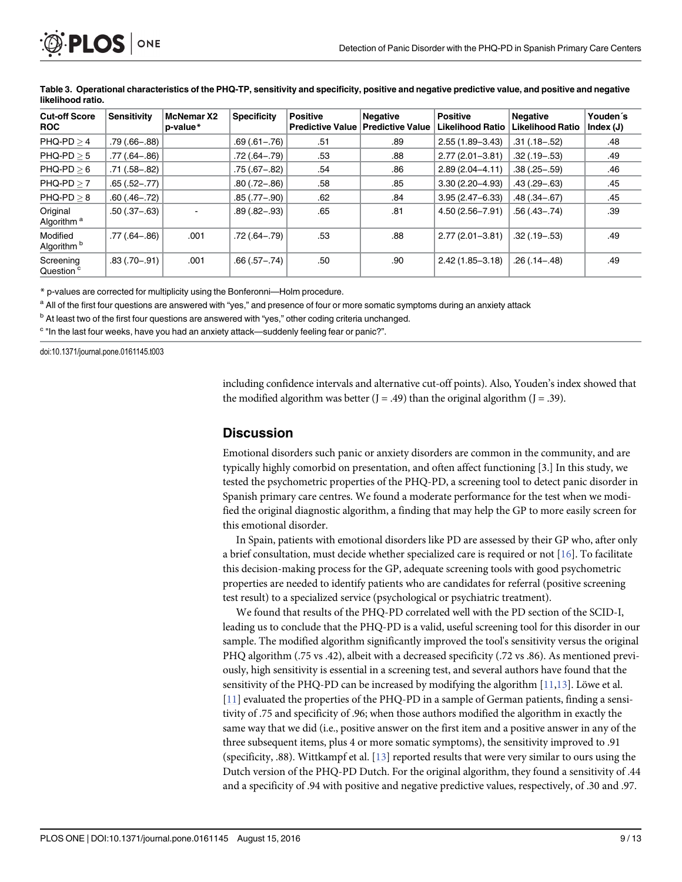<span id="page-8-0"></span>

| <b>Cut-off Score</b><br><b>ROC</b> | <b>Sensitivity</b> | McNemar X2<br>p-value* | <b>Specificity</b> | Positive<br><b>Predictive Value</b> | <b>Negative</b><br><b>Predictive Value</b> | <b>Positive</b><br><b>Likelihood Ratio</b> | <b>Negative</b><br><b>Likelihood Ratio</b> | Youden's<br>Index (J) |
|------------------------------------|--------------------|------------------------|--------------------|-------------------------------------|--------------------------------------------|--------------------------------------------|--------------------------------------------|-----------------------|
| $PHQ-PD > 4$                       | $.79(.66 - .88)$   |                        | $.69(.61 - .76)$   | .51                                 | .89                                        | $2.55(1.89 - 3.43)$                        | $.31(.18-.52)$                             | .48                   |
| $PHQ-PD > 5$                       | $.77(.64 - .86)$   |                        | $.72(.64-.79)$     | .53                                 | .88                                        | $2.77(2.01 - 3.81)$                        | $.32$ (.19 - .53)                          | .49                   |
| $PHQ-PD > 6$                       | $.71(.58 - .82)$   |                        | $.75(.67-.82)$     | .54                                 | .86                                        | $2.89(2.04 - 4.11)$                        | $.38(.25-.59)$                             | .46                   |
| $PHQ-PD > 7$                       | $.65(.52-.77)$     |                        | $.80(.72-.86)$     | .58                                 | .85                                        | $3.30(2.20 - 4.93)$                        | $.43(.29-.63)$                             | .45                   |
| $PHQ-PD > 8$                       | $.60(.46-.72)$     |                        | $.85(.77-.90)$     | .62                                 | .84                                        | $3.95(2.47 - 6.33)$                        | $.48(.34-.67)$                             | .45                   |
| Original<br>Algorithm <sup>a</sup> | $.50(.37 - .63)$   |                        | $.89(.82-.93)$     | .65                                 | .81                                        | $4.50(2.56 - 7.91)$                        | $.56(.43-.74)$                             | .39                   |
| Modified<br>Algorithm <sup>b</sup> | .77 (.64 - .86)    | .001                   | $.72(.64-.79)$     | .53                                 | .88                                        | $2.77(2.01 - 3.81)$                        | $.32$ (.19 - .53)                          | .49                   |
| Screening<br>Question <sup>c</sup> | $.83(.70-.91)$     | .001                   | $.66(.57-.74)$     | .50                                 | .90                                        | $2.42(1.85 - 3.18)$                        | $.26(0.14 - 0.48)$                         | .49                   |

#### [Table 3.](#page-7-0) Operational characteristics of the PHQ-TP, sensitivity and specificity, positive and negative predictive value, and positive and negative likelihood ratio.

\* p-values are corrected for multiplicity using the Bonferonni—Holm procedure.

a All of the first four questions are answered with "yes," and presence of four or more somatic symptoms during an anxiety attack

<sup>b</sup> At least two of the first four questions are answered with "yes," other coding criteria unchanged.

c "In the last four weeks, have you had an anxiety attack—suddenly feeling fear or panic?".

doi:10.1371/journal.pone.0161145.t003

including confidence intervals and alternative cut-off points). Also, Youden's index showed that the modified algorithm was better  $(J = .49)$  than the original algorithm  $(J = .39)$ .

#### **Discussion**

Emotional disorders such panic or anxiety disorders are common in the community, and are typically highly comorbid on presentation, and often affect functioning [3.] In this study, we tested the psychometric properties of the PHQ-PD, a screening tool to detect panic disorder in Spanish primary care centres. We found a moderate performance for the test when we modified the original diagnostic algorithm, a finding that may help the GP to more easily screen for this emotional disorder.

In Spain, patients with emotional disorders like PD are assessed by their GP who, after only a brief consultation, must decide whether specialized care is required or not [[16](#page-12-0)]. To facilitate this decision-making process for the GP, adequate screening tools with good psychometric properties are needed to identify patients who are candidates for referral (positive screening test result) to a specialized service (psychological or psychiatric treatment).

We found that results of the PHQ-PD correlated well with the PD section of the SCID-I, leading us to conclude that the PHQ-PD is a valid, useful screening tool for this disorder in our sample. The modified algorithm significantly improved the tool's sensitivity versus the original PHQ algorithm (.75 vs .42), albeit with a decreased specificity (.72 vs .86). As mentioned previously, high sensitivity is essential in a screening test, and several authors have found that the sensitivity of the PHQ-PD can be increased by modifying the algorithm [\[11,13](#page-11-0)]. Löwe et al.  $[11]$  $[11]$  evaluated the properties of the PHQ-PD in a sample of German patients, finding a sensitivity of .75 and specificity of .96; when those authors modified the algorithm in exactly the same way that we did (i.e., positive answer on the first item and a positive answer in any of the three subsequent items, plus 4 or more somatic symptoms), the sensitivity improved to .91 (specificity, .88). Wittkampf et al. [\[13\]](#page-11-0) reported results that were very similar to ours using the Dutch version of the PHQ-PD Dutch. For the original algorithm, they found a sensitivity of .44 and a specificity of .94 with positive and negative predictive values, respectively, of .30 and .97.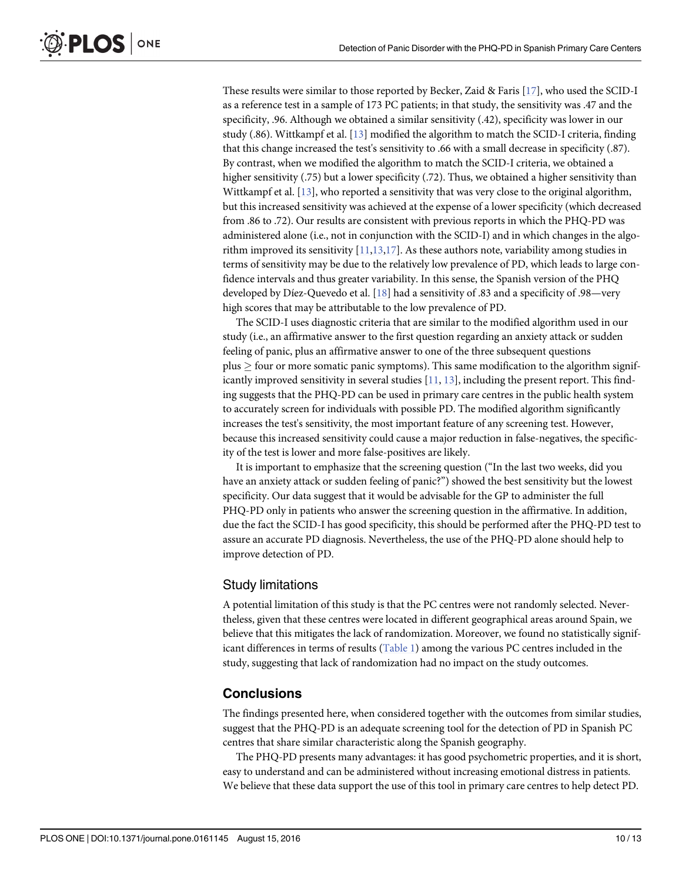<span id="page-9-0"></span>These results were similar to those reported by Becker, Zaid & Faris [\[17\]](#page-12-0), who used the SCID-I as a reference test in a sample of 173 PC patients; in that study, the sensitivity was .47 and the specificity, .96. Although we obtained a similar sensitivity (.42), specificity was lower in our study (.86). Wittkampf et al. [\[13\]](#page-11-0) modified the algorithm to match the SCID-I criteria, finding that this change increased the test's sensitivity to .66 with a small decrease in specificity (.87). By contrast, when we modified the algorithm to match the SCID-I criteria, we obtained a higher sensitivity (.75) but a lower specificity (.72). Thus, we obtained a higher sensitivity than Wittkampf et al. [\[13\]](#page-11-0), who reported a sensitivity that was very close to the original algorithm, but this increased sensitivity was achieved at the expense of a lower specificity (which decreased from .86 to .72). Our results are consistent with previous reports in which the PHQ-PD was administered alone (i.e., not in conjunction with the SCID-I) and in which changes in the algorithm improved its sensitivity  $[11,13,17]$  $[11,13,17]$  $[11,13,17]$  $[11,13,17]$  $[11,13,17]$ . As these authors note, variability among studies in terms of sensitivity may be due to the relatively low prevalence of PD, which leads to large confidence intervals and thus greater variability. In this sense, the Spanish version of the PHQ developed by Díez-Quevedo et al. [\[18\]](#page-12-0) had a sensitivity of .83 and a specificity of .98—very high scores that may be attributable to the low prevalence of PD.

The SCID-I uses diagnostic criteria that are similar to the modified algorithm used in our study (i.e., an affirmative answer to the first question regarding an anxiety attack or sudden feeling of panic, plus an affirmative answer to one of the three subsequent questions plus  $\geq$  four or more somatic panic symptoms). This same modification to the algorithm significantly improved sensitivity in several studies  $[11, 13]$  $[11, 13]$  $[11, 13]$  $[11, 13]$ , including the present report. This finding suggests that the PHQ-PD can be used in primary care centres in the public health system to accurately screen for individuals with possible PD. The modified algorithm significantly increases the test's sensitivity, the most important feature of any screening test. However, because this increased sensitivity could cause a major reduction in false-negatives, the specificity of the test is lower and more false-positives are likely.

It is important to emphasize that the screening question ("In the last two weeks, did you have an anxiety attack or sudden feeling of panic?") showed the best sensitivity but the lowest specificity. Our data suggest that it would be advisable for the GP to administer the full PHQ-PD only in patients who answer the screening question in the affirmative. In addition, due the fact the SCID-I has good specificity, this should be performed after the PHQ-PD test to assure an accurate PD diagnosis. Nevertheless, the use of the PHQ-PD alone should help to improve detection of PD.

#### Study limitations

A potential limitation of this study is that the PC centres were not randomly selected. Nevertheless, given that these centres were located in different geographical areas around Spain, we believe that this mitigates the lack of randomization. Moreover, we found no statistically significant differences in terms of results  $(Table 1)$  $(Table 1)$  among the various PC centres included in the study, suggesting that lack of randomization had no impact on the study outcomes.

#### **Conclusions**

The findings presented here, when considered together with the outcomes from similar studies, suggest that the PHQ-PD is an adequate screening tool for the detection of PD in Spanish PC centres that share similar characteristic along the Spanish geography.

The PHQ-PD presents many advantages: it has good psychometric properties, and it is short, easy to understand and can be administered without increasing emotional distress in patients. We believe that these data support the use of this tool in primary care centres to help detect PD.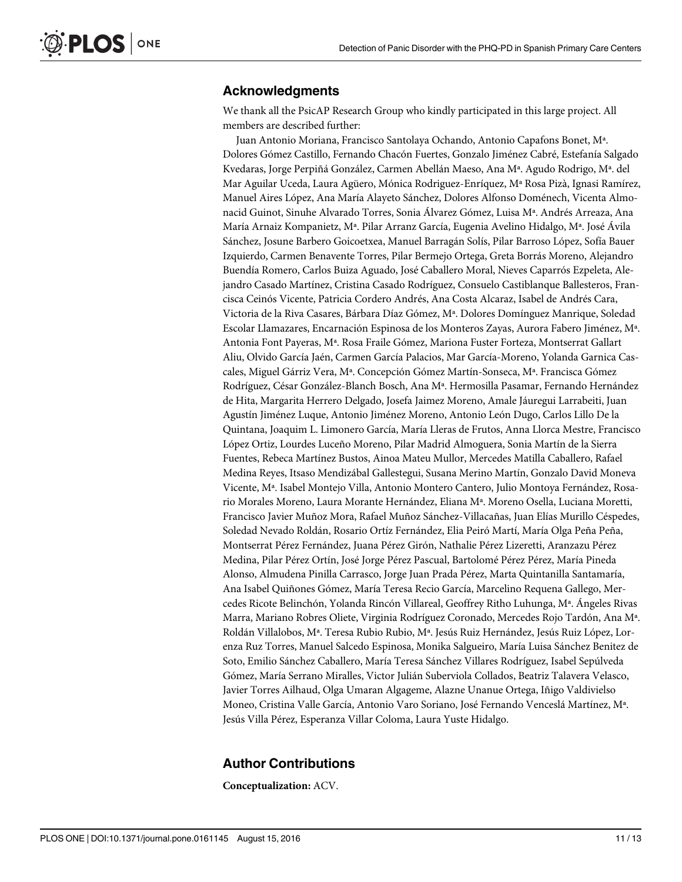#### Acknowledgments

We thank all the PsicAP Research Group who kindly participated in this large project. All members are described further:

Juan Antonio Moriana, Francisco Santolaya Ochando, Antonio Capafons Bonet, Mª. Dolores Gómez Castillo, Fernando Chacón Fuertes, Gonzalo Jiménez Cabré, Estefanía Salgado Kvedaras, Jorge Perpiñá González, Carmen Abellán Maeso, Ana Mª. Agudo Rodrigo, Mª. del Mar Aguilar Uceda, Laura Agüero, Mónica Rodriguez-Enríquez, Mª Rosa Pizà, Ignasi Ramírez, Manuel Aires López, Ana María Alayeto Sánchez, Dolores Alfonso Doménech, Vicenta Almonacid Guinot, Sinuhe Alvarado Torres, Sonia Álvarez Gómez, Luisa Mª. Andrés Arreaza, Ana María Arnaiz Kompanietz, Mª. Pilar Arranz García, Eugenia Avelino Hidalgo, Mª. José Ávila Sánchez, Josune Barbero Goicoetxea, Manuel Barragán Solís, Pilar Barroso López, Sofía Bauer Izquierdo, Carmen Benavente Torres, Pilar Bermejo Ortega, Greta Borrás Moreno, Alejandro Buendía Romero, Carlos Buiza Aguado, José Caballero Moral, Nieves Caparrós Ezpeleta, Alejandro Casado Martínez, Cristina Casado Rodríguez, Consuelo Castiblanque Ballesteros, Francisca Ceinós Vicente, Patricia Cordero Andrés, Ana Costa Alcaraz, Isabel de Andrés Cara, Victoria de la Riva Casares, Bárbara Díaz Gómez, Mª. Dolores Domínguez Manrique, Soledad Escolar Llamazares, Encarnación Espinosa de los Monteros Zayas, Aurora Fabero Jiménez, Mª. Antonia Font Payeras, Mª. Rosa Fraile Gómez, Mariona Fuster Forteza, Montserrat Gallart Aliu, Olvido García Jaén, Carmen García Palacios, Mar García-Moreno, Yolanda Garnica Cascales, Miguel Gárriz Vera, Mª. Concepción Gómez Martín-Sonseca, Mª. Francisca Gómez Rodríguez, César González-Blanch Bosch, Ana Mª. Hermosilla Pasamar, Fernando Hernández de Hita, Margarita Herrero Delgado, Josefa Jaimez Moreno, Amale Jáuregui Larrabeiti, Juan Agustín Jiménez Luque, Antonio Jiménez Moreno, Antonio León Dugo, Carlos Lillo De la Quintana, Joaquim L. Limonero García, María Lleras de Frutos, Anna Llorca Mestre, Francisco López Ortiz, Lourdes Luceño Moreno, Pilar Madrid Almoguera, Sonia Martín de la Sierra Fuentes, Rebeca Martínez Bustos, Ainoa Mateu Mullor, Mercedes Matilla Caballero, Rafael Medina Reyes, Itsaso Mendizábal Gallestegui, Susana Merino Martín, Gonzalo David Moneva Vicente, Mª. Isabel Montejo Villa, Antonio Montero Cantero, Julio Montoya Fernández, Rosario Morales Moreno, Laura Morante Hernández, Eliana Mª. Moreno Osella, Luciana Moretti, Francisco Javier Muñoz Mora, Rafael Muñoz Sánchez-Villacañas, Juan Elías Murillo Céspedes, Soledad Nevado Roldán, Rosario Ortíz Fernández, Elia Peiró Martí, María Olga Peña Peña, Montserrat Pérez Fernández, Juana Pérez Girón, Nathalie Pérez Lizeretti, Aranzazu Pérez Medina, Pilar Pérez Ortín, José Jorge Pérez Pascual, Bartolomé Pérez Pérez, María Pineda Alonso, Almudena Pinilla Carrasco, Jorge Juan Prada Pérez, Marta Quintanilla Santamaría, Ana Isabel Quiñones Gómez, María Teresa Recio García, Marcelino Requena Gallego, Mercedes Ricote Belinchón, Yolanda Rincón Villareal, Geoffrey Ritho Luhunga, Mª. Ángeles Rivas Marra, Mariano Robres Oliete, Virginia Rodríguez Coronado, Mercedes Rojo Tardón, Ana Mª. Roldán Villalobos, Mª. Teresa Rubio Rubio, Mª. Jesús Ruiz Hernández, Jesús Ruiz López, Lorenza Ruz Torres, Manuel Salcedo Espinosa, Monika Salgueiro, María Luisa Sánchez Benitez de Soto, Emilio Sánchez Caballero, María Teresa Sánchez Villares Rodríguez, Isabel Sepúlveda Gómez, María Serrano Miralles, Victor Julián Suberviola Collados, Beatriz Talavera Velasco, Javier Torres Ailhaud, Olga Umaran Algageme, Alazne Unanue Ortega, Iñigo Valdivielso Moneo, Cristina Valle García, Antonio Varo Soriano, José Fernando Venceslá Martínez, Mª. Jesús Villa Pérez, Esperanza Villar Coloma, Laura Yuste Hidalgo.

# Author Contributions

Conceptualization: ACV.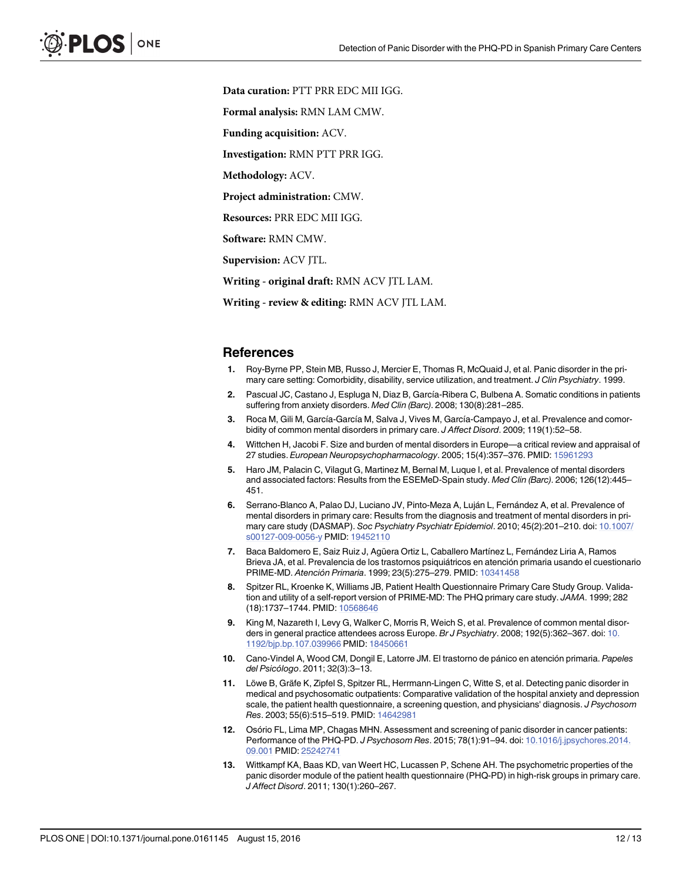<span id="page-11-0"></span>Data curation: PTT PRR EDC MII IGG.

Formal analysis: RMN LAM CMW.

Funding acquisition: ACV.

Investigation: RMN PTT PRR IGG.

Methodology: ACV.

Project administration: CMW.

Resources: PRR EDC MII IGG.

Software: RMN CMW.

Supervision: ACV JTL.

Writing - original draft: RMN ACV JTL LAM.

Writing - review & editing: RMN ACV JTL LAM.

#### References

- [1.](#page-1-0) Roy-Byrne PP, Stein MB, Russo J, Mercier E, Thomas R, McQuaid J, et al. Panic disorder in the primary care setting: Comorbidity, disability, service utilization, and treatment. J Clin Psychiatry. 1999.
- [2.](#page-1-0) Pascual JC, Castano J, Espluga N, Diaz B, García-Ribera C, Bulbena A. Somatic conditions in patients suffering from anxiety disorders. Med Clin (Barc). 2008; 130(8):281–285.
- [3.](#page-1-0) Roca M, Gili M, García-García M, Salva J, Vives M, García-Campayo J, et al. Prevalence and comorbidity of common mental disorders in primary care. J Affect Disord. 2009; 119(1):52–58.
- [4.](#page-1-0) Wittchen H, Jacobi F. Size and burden of mental disorders in Europe—a critical review and appraisal of 27 studies. European Neuropsychopharmacology. 2005; 15(4):357–376. PMID: [15961293](http://www.ncbi.nlm.nih.gov/pubmed/15961293)
- [5.](#page-1-0) Haro JM, Palacin C, Vilagut G, Martinez M, Bernal M, Luque I, et al. Prevalence of mental disorders and associated factors: Results from the ESEMeD-Spain study. Med Clin (Barc). 2006; 126(12):445– 451.
- [6.](#page-1-0) Serrano-Blanco A, Palao DJ, Luciano JV, Pinto-Meza A, Luján L, Fernández A, et al. Prevalence of mental disorders in primary care: Results from the diagnosis and treatment of mental disorders in pri-mary care study (DASMAP). Soc Psychiatry Psychiatr Epidemiol. 2010; 45(2):201-210. doi: [10.1007/](http://dx.doi.org/10.1007/s00127-009-0056-y) [s00127-009-0056-y](http://dx.doi.org/10.1007/s00127-009-0056-y) PMID: [19452110](http://www.ncbi.nlm.nih.gov/pubmed/19452110)
- [7.](#page-1-0) Baca Baldomero E, Saiz Ruiz J, Agüera Ortiz L, Caballero Martínez L, Fernández Liria A, Ramos Brieva JA, et al. Prevalencia de los trastornos psiquiátricos en atención primaria usando el cuestionario PRIME-MD. Atención Primaria. 1999; 23(5):275–279. PMID: [10341458](http://www.ncbi.nlm.nih.gov/pubmed/10341458)
- [8.](#page-1-0) Spitzer RL, Kroenke K, Williams JB, Patient Health Questionnaire Primary Care Study Group. Validation and utility of a self-report version of PRIME-MD: The PHQ primary care study. JAMA. 1999; 282 (18):1737–1744. PMID: [10568646](http://www.ncbi.nlm.nih.gov/pubmed/10568646)
- [9.](#page-1-0) King M, Nazareth I, Levy G, Walker C, Morris R, Weich S, et al. Prevalence of common mental disorders in general practice attendees across Europe. Br J Psychiatry. 2008; 192(5):362–367. doi: [10.](http://dx.doi.org/10.1192/bjp.bp.107.039966) [1192/bjp.bp.107.039966](http://dx.doi.org/10.1192/bjp.bp.107.039966) PMID: [18450661](http://www.ncbi.nlm.nih.gov/pubmed/18450661)
- [10.](#page-1-0) Cano-Vindel A, Wood CM, Dongil E, Latorre JM. El trastorno de pánico en atención primaria. Papeles del Psicólogo. 2011; 32(3):3–13.
- [11.](#page-1-0) Löwe B, Gräfe K, Zipfel S, Spitzer RL, Herrmann-Lingen C, Witte S, et al. Detecting panic disorder in medical and psychosomatic outpatients: Comparative validation of the hospital anxiety and depression scale, the patient health questionnaire, a screening question, and physicians' diagnosis. J Psychosom Res. 2003; 55(6):515-519. PMID: [14642981](http://www.ncbi.nlm.nih.gov/pubmed/14642981)
- 12. Osório FL, Lima MP, Chagas MHN. Assessment and screening of panic disorder in cancer patients: Performance of the PHQ-PD. J Psychosom Res. 2015; 78(1):91–94. doi: [10.1016/j.jpsychores.2014.](http://dx.doi.org/10.1016/j.jpsychores.2014.09.001) [09.001](http://dx.doi.org/10.1016/j.jpsychores.2014.09.001) PMID: [25242741](http://www.ncbi.nlm.nih.gov/pubmed/25242741)
- [13.](#page-1-0) Wittkampf KA, Baas KD, van Weert HC, Lucassen P, Schene AH. The psychometric properties of the panic disorder module of the patient health questionnaire (PHQ-PD) in high-risk groups in primary care. J Affect Disord. 2011; 130(1):260–267.